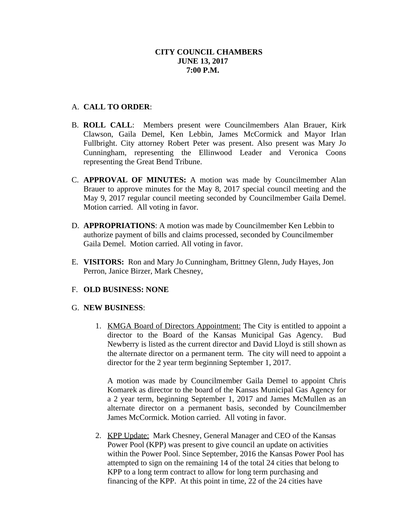# **CITY COUNCIL CHAMBERS JUNE 13, 2017 7:00 P.M.**

# A. **CALL TO ORDER**:

- B. **ROLL CALL**: Members present were Councilmembers Alan Brauer, Kirk Clawson, Gaila Demel, Ken Lebbin, James McCormick and Mayor Irlan Fullbright. City attorney Robert Peter was present. Also present was Mary Jo Cunningham, representing the Ellinwood Leader and Veronica Coons representing the Great Bend Tribune.
- C. **APPROVAL OF MINUTES:** A motion was made by Councilmember Alan Brauer to approve minutes for the May 8, 2017 special council meeting and the May 9, 2017 regular council meeting seconded by Councilmember Gaila Demel. Motion carried. All voting in favor.
- D. **APPROPRIATIONS**: A motion was made by Councilmember Ken Lebbin to authorize payment of bills and claims processed, seconded by Councilmember Gaila Demel. Motion carried. All voting in favor.
- E. **VISITORS:** Ron and Mary Jo Cunningham, Brittney Glenn, Judy Hayes, Jon Perron, Janice Birzer, Mark Chesney,

### F. **OLD BUSINESS: NONE**

### G. **NEW BUSINESS**:

1. KMGA Board of Directors Appointment: The City is entitled to appoint a director to the Board of the Kansas Municipal Gas Agency. Bud Newberry is listed as the current director and David Lloyd is still shown as the alternate director on a permanent term. The city will need to appoint a director for the 2 year term beginning September 1, 2017.

A motion was made by Councilmember Gaila Demel to appoint Chris Komarek as director to the board of the Kansas Municipal Gas Agency for a 2 year term, beginning September 1, 2017 and James McMullen as an alternate director on a permanent basis, seconded by Councilmember James McCormick. Motion carried. All voting in favor.

2. KPP Update: Mark Chesney, General Manager and CEO of the Kansas Power Pool (KPP) was present to give council an update on activities within the Power Pool. Since September, 2016 the Kansas Power Pool has attempted to sign on the remaining 14 of the total 24 cities that belong to KPP to a long term contract to allow for long term purchasing and financing of the KPP. At this point in time, 22 of the 24 cities have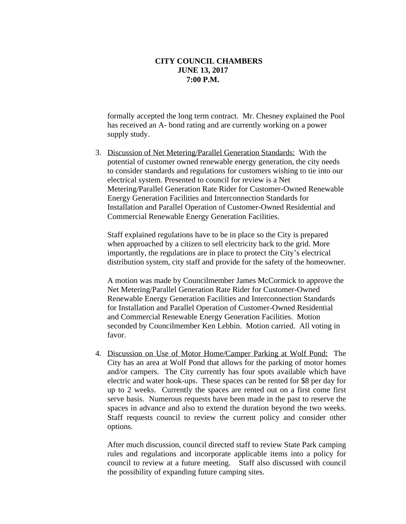#### **CITY COUNCIL CHAMBERS JUNE 13, 2017 7:00 P.M.**

formally accepted the long term contract. Mr. Chesney explained the Pool has received an A- bond rating and are currently working on a power supply study.

3. Discussion of Net Metering/Parallel Generation Standards: With the potential of customer owned renewable energy generation, the city needs to consider standards and regulations for customers wishing to tie into our electrical system. Presented to council for review is a Net Metering/Parallel Generation Rate Rider for Customer-Owned Renewable Energy Generation Facilities and Interconnection Standards for Installation and Parallel Operation of Customer-Owned Residential and Commercial Renewable Energy Generation Facilities.

Staff explained regulations have to be in place so the City is prepared when approached by a citizen to sell electricity back to the grid. More importantly, the regulations are in place to protect the City's electrical distribution system, city staff and provide for the safety of the homeowner.

A motion was made by Councilmember James McCormick to approve the Net Metering/Parallel Generation Rate Rider for Customer-Owned Renewable Energy Generation Facilities and Interconnection Standards for Installation and Parallel Operation of Customer-Owned Residential and Commercial Renewable Energy Generation Facilities. Motion seconded by Councilmember Ken Lebbin. Motion carried. All voting in favor.

4. Discussion on Use of Motor Home/Camper Parking at Wolf Pond: The City has an area at Wolf Pond that allows for the parking of motor homes and/or campers. The City currently has four spots available which have electric and water hook-ups. These spaces can be rented for \$8 per day for up to 2 weeks. Currently the spaces are rented out on a first come first serve basis. Numerous requests have been made in the past to reserve the spaces in advance and also to extend the duration beyond the two weeks. Staff requests council to review the current policy and consider other options.

After much discussion, council directed staff to review State Park camping rules and regulations and incorporate applicable items into a policy for council to review at a future meeting. Staff also discussed with council the possibility of expanding future camping sites.